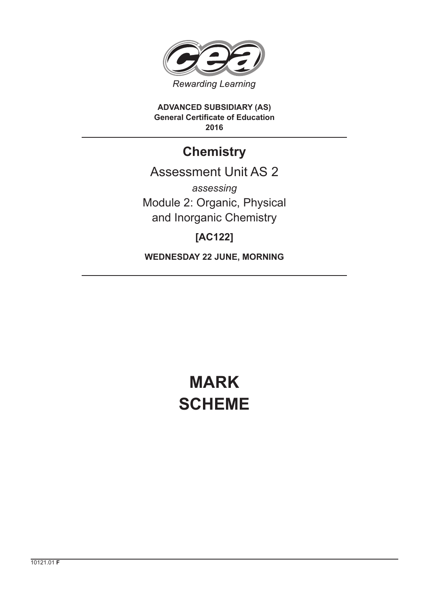

**ADVANCED SUBSIDIARY (AS) General Certificate of Education 2016**

## **Chemistry**

## Assessment Unit AS 2

*assessing* Module 2: Organic, Physical and Inorganic Chemistry

### **[AC122]**

**WEDNESDAY 22 JUNE, MORNING**

# **MARK SCHEME**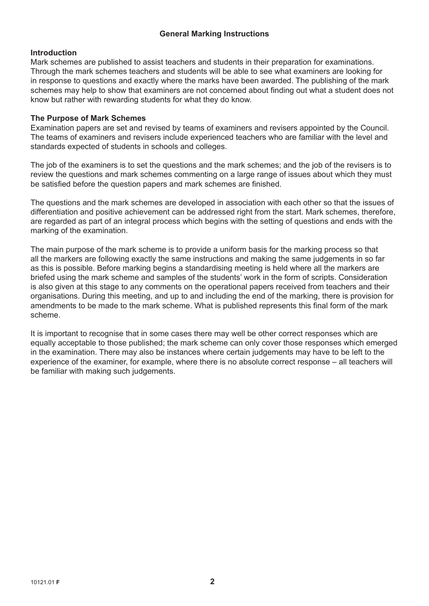### **Introduction**

Mark schemes are published to assist teachers and students in their preparation for examinations. Through the mark schemes teachers and students will be able to see what examiners are looking for in response to questions and exactly where the marks have been awarded. The publishing of the mark schemes may help to show that examiners are not concerned about finding out what a student does not know but rather with rewarding students for what they do know.

### **The Purpose of Mark Schemes**

Examination papers are set and revised by teams of examiners and revisers appointed by the Council. The teams of examiners and revisers include experienced teachers who are familiar with the level and standards expected of students in schools and colleges.

The job of the examiners is to set the questions and the mark schemes; and the job of the revisers is to review the questions and mark schemes commenting on a large range of issues about which they must be satisfied before the question papers and mark schemes are finished.

The questions and the mark schemes are developed in association with each other so that the issues of differentiation and positive achievement can be addressed right from the start. Mark schemes, therefore, are regarded as part of an integral process which begins with the setting of questions and ends with the marking of the examination.

The main purpose of the mark scheme is to provide a uniform basis for the marking process so that all the markers are following exactly the same instructions and making the same judgements in so far as this is possible. Before marking begins a standardising meeting is held where all the markers are briefed using the mark scheme and samples of the students' work in the form of scripts. Consideration is also given at this stage to any comments on the operational papers received from teachers and their organisations. During this meeting, and up to and including the end of the marking, there is provision for amendments to be made to the mark scheme. What is published represents this final form of the mark scheme.

It is important to recognise that in some cases there may well be other correct responses which are equally acceptable to those published; the mark scheme can only cover those responses which emerged in the examination. There may also be instances where certain judgements may have to be left to the experience of the examiner, for example, where there is no absolute correct response – all teachers will be familiar with making such judgements.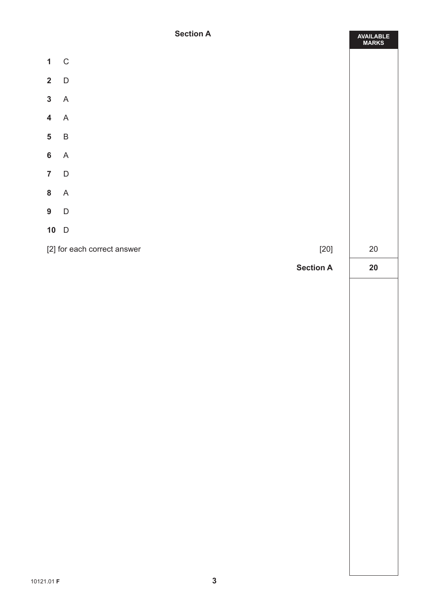**AVAILABLE**

| $\mathbf{1}$<br>$\mathsf C$<br>$\mathbf{2}$<br>$\mathsf D$<br>$\mathbf{3}$<br>$\boldsymbol{\mathsf{A}}$<br>$\overline{\mathbf{4}}$<br>$\boldsymbol{\mathsf{A}}$<br>$\sf B$<br>${\bf 5}$<br>$6\phantom{a}$<br>$\mathsf A$<br>$\overline{\mathbf{7}}$<br>$\mathsf D$<br>$\bf 8$<br>$\boldsymbol{\mathsf{A}}$<br>9<br>$\mathsf D$<br>$10$ D<br>[2] for each correct answer<br>$[20]$<br>$20\,$<br><b>Section A</b><br>$20\,$ |  |
|---------------------------------------------------------------------------------------------------------------------------------------------------------------------------------------------------------------------------------------------------------------------------------------------------------------------------------------------------------------------------------------------------------------------------|--|
|                                                                                                                                                                                                                                                                                                                                                                                                                           |  |
|                                                                                                                                                                                                                                                                                                                                                                                                                           |  |
|                                                                                                                                                                                                                                                                                                                                                                                                                           |  |
|                                                                                                                                                                                                                                                                                                                                                                                                                           |  |
|                                                                                                                                                                                                                                                                                                                                                                                                                           |  |
|                                                                                                                                                                                                                                                                                                                                                                                                                           |  |
|                                                                                                                                                                                                                                                                                                                                                                                                                           |  |
|                                                                                                                                                                                                                                                                                                                                                                                                                           |  |
|                                                                                                                                                                                                                                                                                                                                                                                                                           |  |
|                                                                                                                                                                                                                                                                                                                                                                                                                           |  |
|                                                                                                                                                                                                                                                                                                                                                                                                                           |  |
|                                                                                                                                                                                                                                                                                                                                                                                                                           |  |
|                                                                                                                                                                                                                                                                                                                                                                                                                           |  |
|                                                                                                                                                                                                                                                                                                                                                                                                                           |  |
|                                                                                                                                                                                                                                                                                                                                                                                                                           |  |
|                                                                                                                                                                                                                                                                                                                                                                                                                           |  |
|                                                                                                                                                                                                                                                                                                                                                                                                                           |  |
|                                                                                                                                                                                                                                                                                                                                                                                                                           |  |
|                                                                                                                                                                                                                                                                                                                                                                                                                           |  |
|                                                                                                                                                                                                                                                                                                                                                                                                                           |  |
|                                                                                                                                                                                                                                                                                                                                                                                                                           |  |
|                                                                                                                                                                                                                                                                                                                                                                                                                           |  |
|                                                                                                                                                                                                                                                                                                                                                                                                                           |  |
|                                                                                                                                                                                                                                                                                                                                                                                                                           |  |
|                                                                                                                                                                                                                                                                                                                                                                                                                           |  |
|                                                                                                                                                                                                                                                                                                                                                                                                                           |  |
|                                                                                                                                                                                                                                                                                                                                                                                                                           |  |
|                                                                                                                                                                                                                                                                                                                                                                                                                           |  |
|                                                                                                                                                                                                                                                                                                                                                                                                                           |  |
|                                                                                                                                                                                                                                                                                                                                                                                                                           |  |
|                                                                                                                                                                                                                                                                                                                                                                                                                           |  |
| $\mathbf{3}$<br>10121.01 F                                                                                                                                                                                                                                                                                                                                                                                                |  |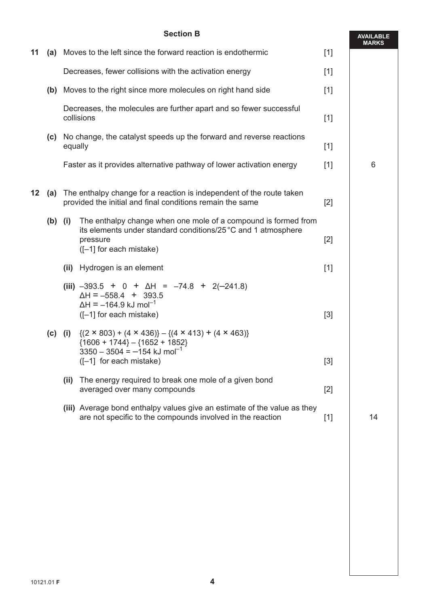### **Section B**

**AVAILABLE**

|    |           |         |                                                                                                                                                                                                  |       | <b>MARKS</b> |
|----|-----------|---------|--------------------------------------------------------------------------------------------------------------------------------------------------------------------------------------------------|-------|--------------|
| 11 |           |         | (a) Moves to the left since the forward reaction is endothermic                                                                                                                                  | $[1]$ |              |
|    |           |         | Decreases, fewer collisions with the activation energy                                                                                                                                           | $[1]$ |              |
|    |           |         | (b) Moves to the right since more molecules on right hand side                                                                                                                                   | $[1]$ |              |
|    |           |         | Decreases, the molecules are further apart and so fewer successful<br>collisions                                                                                                                 | $[1]$ |              |
|    |           | equally | (c) No change, the catalyst speeds up the forward and reverse reactions                                                                                                                          | $[1]$ |              |
|    |           |         | Faster as it provides alternative pathway of lower activation energy                                                                                                                             | $[1]$ | 6            |
|    |           |         | <b>12</b> (a) The enthalpy change for a reaction is independent of the route taken<br>provided the initial and final conditions remain the same                                                  | $[2]$ |              |
|    | $(b)$ (i) |         | The enthalpy change when one mole of a compound is formed from<br>its elements under standard conditions/25 °C and 1 atmosphere<br>pressure<br>([-1] for each mistake)                           | $[2]$ |              |
|    |           | (ii)    | Hydrogen is an element                                                                                                                                                                           | $[1]$ |              |
|    |           |         | (iii) $-393.5 + 0 + \Delta H = -74.8 + 2(-241.8)$<br>$\Delta H = -558.4 + 393.5$<br>$\Delta H = -164.9$ kJ mol <sup>-1</sup><br>$([-1]$ for each mistake)                                        | $[3]$ |              |
|    |           |         | (c) (i) $\{(2 \times 803) + (4 \times 436)\} - \{(4 \times 413) + (4 \times 463)\}$<br>${1606 + 1744} - {1652 + 1852}$<br>$3350 - 3504 = -154$ kJ mol <sup>-1</sup><br>$([-1]$ for each mistake) | $[3]$ |              |
|    |           | (ii)    | The energy required to break one mole of a given bond<br>averaged over many compounds                                                                                                            | $[2]$ |              |
|    |           |         | (iii) Average bond enthalpy values give an estimate of the value as they<br>are not specific to the compounds involved in the reaction                                                           | $[1]$ | 14           |
|    |           |         |                                                                                                                                                                                                  |       |              |
|    |           |         |                                                                                                                                                                                                  |       |              |
|    |           |         |                                                                                                                                                                                                  |       |              |
|    |           |         |                                                                                                                                                                                                  |       |              |
|    |           |         |                                                                                                                                                                                                  |       |              |
|    |           |         |                                                                                                                                                                                                  |       |              |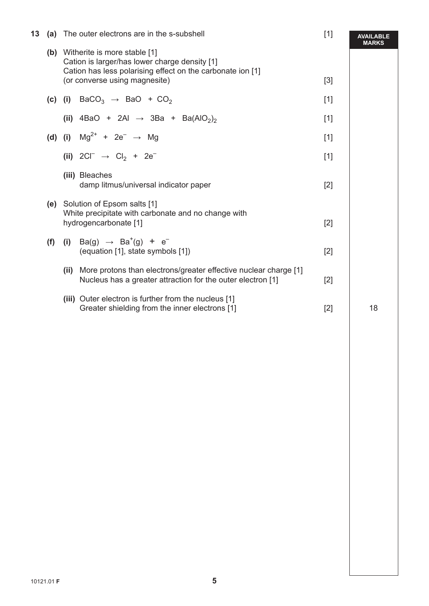| 13 |     |      | (a) The outer electrons are in the s-subshell                                                                                                                                    | $[1]$ | AVAILABLE<br><b>MARKS</b> |
|----|-----|------|----------------------------------------------------------------------------------------------------------------------------------------------------------------------------------|-------|---------------------------|
|    |     |      | (b) Witherite is more stable [1]<br>Cation is larger/has lower charge density [1]<br>Cation has less polarising effect on the carbonate ion [1]<br>(or converse using magnesite) | $[3]$ |                           |
|    |     |      | (c) (i) BaCO <sub>3</sub> $\rightarrow$ BaO + CO <sub>2</sub>                                                                                                                    | $[1]$ |                           |
|    |     |      | (ii) 4BaO + 2Al $\rightarrow$ 3Ba + Ba(AlO <sub>2</sub> ) <sub>2</sub>                                                                                                           | $[1]$ |                           |
|    |     |      | (d) (i) $Mg^{2+} + 2e^{-} \rightarrow Mg$                                                                                                                                        | $[1]$ |                           |
|    |     |      | (ii) $2CI^{-} \rightarrow Cl_{2} + 2e^{-}$                                                                                                                                       | $[1]$ |                           |
|    |     |      | (iii) Bleaches<br>damp litmus/universal indicator paper                                                                                                                          | $[2]$ |                           |
|    |     |      | (e) Solution of Epsom salts [1]<br>White precipitate with carbonate and no change with<br>hydrogencarbonate [1]                                                                  | $[2]$ |                           |
|    | (f) |      | (i) Ba(g) $\rightarrow$ Ba <sup>+</sup> (g) + e <sup>-</sup><br>(equation [1], state symbols [1])                                                                                | $[2]$ |                           |
|    |     | (ii) | More protons than electrons/greater effective nuclear charge [1]<br>Nucleus has a greater attraction for the outer electron [1]                                                  | $[2]$ |                           |
|    |     |      | (iii) Outer electron is further from the nucleus [1]<br>Greater shielding from the inner electrons [1]                                                                           | $[2]$ | 18                        |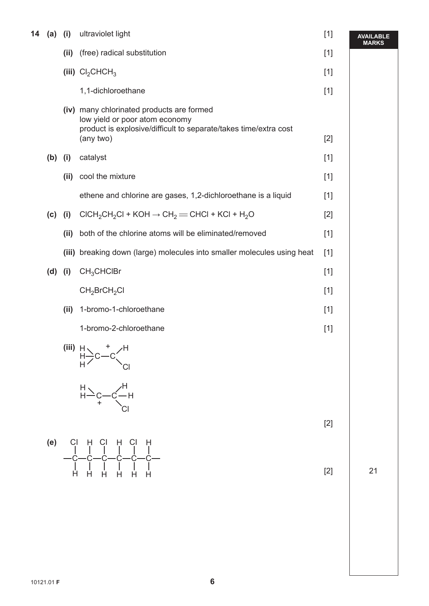| $(a)$ (i) |      | ultraviolet light                                                                                               | $[1]$                                                                                                                                                                                             | <b>AVAILABLE</b><br><b>MARKS</b> |
|-----------|------|-----------------------------------------------------------------------------------------------------------------|---------------------------------------------------------------------------------------------------------------------------------------------------------------------------------------------------|----------------------------------|
|           | (ii) | (free) radical substitution                                                                                     | $[1]$                                                                                                                                                                                             |                                  |
|           |      |                                                                                                                 | $[1]$                                                                                                                                                                                             |                                  |
|           |      | 1,1-dichloroethane                                                                                              | $[1]$                                                                                                                                                                                             |                                  |
|           |      | low yield or poor atom economy<br>product is explosive/difficult to separate/takes time/extra cost<br>(any two) | $[2]$                                                                                                                                                                                             |                                  |
|           |      | catalyst                                                                                                        | $[1]$                                                                                                                                                                                             |                                  |
|           | (ii) | cool the mixture                                                                                                | $[1]$                                                                                                                                                                                             |                                  |
|           |      | ethene and chlorine are gases, 1,2-dichloroethane is a liquid                                                   | $[1]$                                                                                                                                                                                             |                                  |
|           |      | $CICH_2CH_2Cl$ + KOH $\rightarrow CH_2$ $\rightarrow$ CHCl + KCl + H <sub>2</sub> O                             | $[2]$                                                                                                                                                                                             |                                  |
|           | (ii) | both of the chlorine atoms will be eliminated/removed                                                           | $[1]$                                                                                                                                                                                             |                                  |
|           |      |                                                                                                                 | $[1]$                                                                                                                                                                                             |                                  |
| (d)       | (i)  | CH <sub>3</sub> CHClBr                                                                                          | $[1]$                                                                                                                                                                                             |                                  |
|           |      | CH <sub>2</sub> BrCH <sub>2</sub> Cl                                                                            | $[1]$                                                                                                                                                                                             |                                  |
|           | (ii) | 1-bromo-1-chloroethane                                                                                          | $[1]$                                                                                                                                                                                             |                                  |
|           |      | 1-bromo-2-chloroethane                                                                                          | $[1]$                                                                                                                                                                                             |                                  |
|           |      |                                                                                                                 |                                                                                                                                                                                                   |                                  |
|           |      |                                                                                                                 |                                                                                                                                                                                                   |                                  |
|           |      |                                                                                                                 | $[2]$                                                                                                                                                                                             |                                  |
| (e)       |      |                                                                                                                 |                                                                                                                                                                                                   |                                  |
|           |      |                                                                                                                 | $[2]$                                                                                                                                                                                             | 21                               |
|           |      |                                                                                                                 |                                                                                                                                                                                                   |                                  |
|           |      |                                                                                                                 |                                                                                                                                                                                                   |                                  |
|           |      |                                                                                                                 |                                                                                                                                                                                                   |                                  |
|           |      | $(b)$ (i)<br>$(c)$ (i)                                                                                          | (iii) $Cl_2CHCH_3$<br>(iv) many chlorinated products are formed<br>(iii) breaking down (large) molecules into smaller molecules using heat<br>(iii) $H > C - C$<br>$H > C - C$<br>$H - C - C - H$ |                                  |